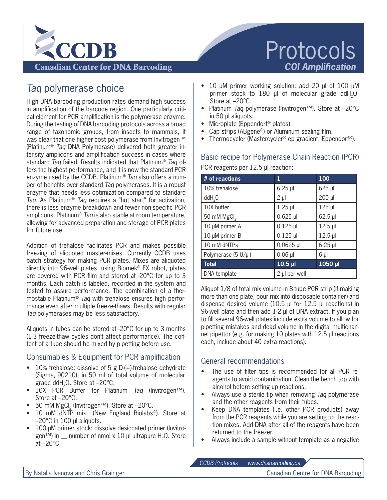

# Taq polymerase choice

High DNA barcoding production rates demand high success in amplification of the barcode region. One particularly critical element for PCR amplification is the polymerase enzyme. During the testing of DNA barcoding protocols across a broad range of taxonomic groups, from insects to mammals, it was clear that one higher-cost polymerase from Invitrogen™ (Platinum® *Taq* DNA Polymerase) delivered both greater intensity amplicons and amplification success in cases where standard *Taq* failed. Results indicated that Platinum® *Taq* offers the highest performance, and it is now the standard PCR enzyme used by the CCDB. Platinum® *Taq* also offers a number of benefits over standard *Taq* polymerases. It is a robust enzyme that needs less optimization compared to standard *Taq*. As Platinum® *Taq* requires a "hot start" for activation, there is less enzyme breakdown and fewer non-specific PCR amplicons. Platinum® *Taq* is also stable at room temperature, allowing for advanced preparation and storage of PCR plates for future use.

Addition of trehalose facilitates PCR and makes possible freezing of aliquoted master-mixes. Currently CCDB uses batch strategy for making PCR plates. Mixes are aliquoted directly into 96-well plates, using Biomek® FX robot, plates are covered with PCR film and stored at -20°C for up to 3 months. Each batch is labeled, recorded in the system and tested to assure performance. The combination of a thermostable Platinum® *Taq* with trehalose ensures high performance even after multiple freeze-thaws. Results with regular *Taq* polymerases may be less satisfactory.

Aliquots in tubes can be stored at -20°C for up to 3 months (1-3 freeze-thaw cycles don't affect performance). The content of a tube should be mixed by pipetting before use.

### Consumables & Equipment for PCR amplification

- 10% trehalose: dissolve of 5 g D-(+)-trehalose dehydrate (Sigma, 90210), in 50 ml of total volume of molecular grade ddH2O. Store at –20°C.
- 10X PCR Buffer for Platinum *Taq* (Invitrogen™). Store at –20°C.
- 50 mM MgCl2 (Invitrogen™). Store at –20°C.
- 10 mM dNTP mix (New England Biolabs®). Store at –20°C in 100 µl aliquots.
- 100 uM primer stock: dissolve desiccated primer (Invitrogen<sup>™</sup>) in \_\_ number of nmol x 10 µl ultrapure H<sub>2</sub>O. Store  $at -20^{\circ}$ C.

# Protocols *COI Amplification*

- 10 µM primer working solution: add 20 µl of 100 µM primer stock to 180 µl of molecular grade ddH<sub>2</sub>O. Store at –20°C.
- Platinum *Taq* polymerase (Invitrogen™). Store at –20°C in 50 ul aliquots.
- Microplate (Eppendorf® plates).
- Cap strips (ABgene®) or Aluminum sealing film.
- Thermocycler (Mastercycler<sup>®</sup> ep gradient, Eppendorf<sup>®</sup>).

### Basic recipe for Polymerase Chain Reaction (PCR) PCR reagents per 12.5 μl reaction:

| # of reactions          | 1             | 100         |
|-------------------------|---------------|-------------|
| 10% trehalose           | $6.25$ µ      | 625 µl      |
| ddH <sub>2</sub> 0      | $2 \mu$       | $200$ $\mu$ |
| 10X buffer              | $1.25$ µ      | $125$ µ     |
| 50 mM MgCl <sub>2</sub> | $0.625$ µl    | $62.5$ µl   |
| 10 µM primer A          | $0.125$ µl    | $12.5$ µl   |
| 10 µM primer B          | $0.125$ µl    | $12.5$ µl   |
| 10 mM dNTPs             | $0.0625$ µl   | $6.25$ µ    |
| Polymerase (5 U/µl)     | $0.06$ $\mu$  | $6 \mu$     |
| <b>Total</b>            | $10.5$ µl     | 1050 µl     |
| DNA template            | 2 µl per well |             |

Aliquot 1/8 of total mix volume in 8-tube PCR strip (if making more than one plate, pour mix into disposable container) and dispense desired volume (10.5 µl for 12.5 µl reactions) in 96-well plate and then add 1-2 µl of DNA extract. If you plan to fill several 96-well plates include extra volume to allow for pipetting mistakes and dead volume in the digital multichannel pipettor (e.g. for making 10 plates with 12.5 µl reactions each, include about 40 extra reactions).

### General recommendations

- The use of filter tips is recommended for all PCR reagents to avoid contamination. Clean the bench top with alcohol before setting up reactions.
- Always use a sterile tip when removing *Taq* polymerase and the other reagents from their tubes.
- Keep DNA templates (i.e. other PCR products) away from the PCR reagents while you are setting up the reaction mixes. Add DNA after all of the reagents have been returned to the freezer.
- Always include a sample without template as a negative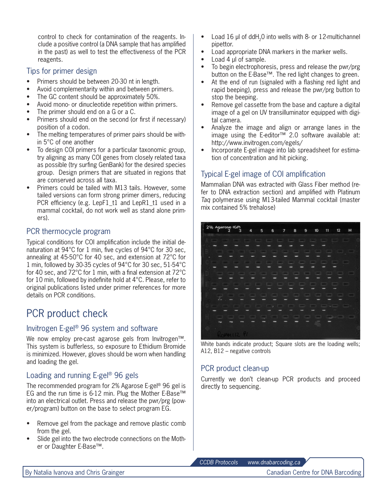control to check for contamination of the reagents. Include a positive control (a DNA sample that has amplified in the past) as well to test the effectiveness of the PCR reagents.

#### Tips for primer design

- Primers should be between 20-30 nt in length.
- Avoid complementarity within and between primers.
- The GC content should be approximately 50%.
- Avoid mono- or dinucleotide repetition within primers.
- The primer should end on a G or a C.
- Primers should end on the second (or first if necessary) position of a codon.
- The melting temperatures of primer pairs should be within 5°C of one another
- To design COI primers for a particular taxonomic group, try aligning as many COI genes from closely related taxa as possible (try surfing GenBank) for the desired species group. Design primers that are situated in regions that are conserved across all taxa.
- Primers could be tailed with M13 tails. However, some tailed versions can form strong primer dimers, reducing PCR efficiency (e.g. LepF1\_t1\_and LepR1\_t1 used in a mammal cocktail, do not work well as stand alone primers).

### PCR thermocycle program

Typical conditions for COI amplification include the initial denaturation at 94°C for 1 min, five cycles of 94°C for 30 sec, annealing at 45-50°C for 40 sec, and extension at 72°C for 1 min, followed by 30-35 cycles of 94°C for 30 sec, 51-54°C for 40 sec, and 72°C for 1 min, with a final extension at 72°C for 10 min, followed by indefinite hold at 4°C. Please, refer to original publications listed under primer references for more details on PCR conditions.

## PCR product check

### Invitrogen E-gel® 96 system and software

We now employ pre-cast agarose gels from Invitrogen™. This system is bufferless, so exposure to Ethidium Bromide is minimized. However, gloves should be worn when handling and loading the gel.

### Loading and running E-gel® 96 gels

The recommended program for 2% Agarose E-gel® 96 gel is EG and the run time is 6-12 min. Plug the Mother E-Base™ into an electrical outlet. Press and release the pwr/prg (power/program) button on the base to select program EG.

- Remove gel from the package and remove plastic comb from the gel.
- Slide gel into the two electrode connections on the Mother or Daughter E-Base™.
- Load 16 μl of ddH20 into wells with 8- or 12-multichannel pipettor.
- Load appropriate DNA markers in the marker wells.
- Load 4 μl of sample.
- To begin electrophoresis, press and release the pwr/prg button on the E-Base™. The red light changes to green.
- At the end of run (signaled with a flashing red light and rapid beeping), press and release the pwr/prg button to stop the beeping.
- Remove gel cassette from the base and capture a digital image of a gel on UV transilluminator equipped with digital camera.
- Analyze the image and align or arrange lanes in the image using the E-editor™ 2.0 software available at: http://www.invitrogen.com/egels/
- Incorporate E-gel image into lab spreadsheet for estimation of concentration and hit picking.

### Typical E-gel image of COI amplification

Mammalian DNA was extracted with Glass Fiber method (refer to DNA extraction section) and amplified with Platinum *Taq* polymerase using M13-tailed Mammal cocktail (master mix contained 5% trehalose)



White bands indicate product; Square slots are the loading wells; A12, B12 – negative controls

### PCR product clean-up

Currently we don't clean-up PCR products and proceed directly to sequencing.

*CCDB Protocols www.dnabarcoding.ca*